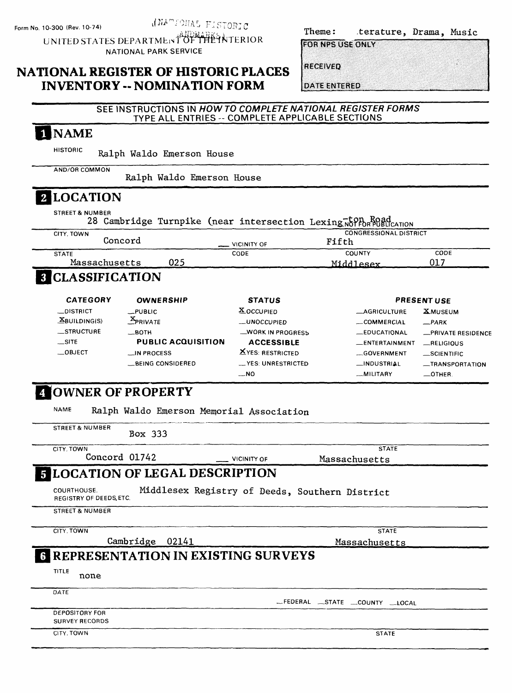*INATIONAL FISTORIC* UNITED STATES DEPARTMENT OF THE NTERIOR

NATIONAL PARK SERVICE

| Theme: | terature, Drama, Music |  |
|--------|------------------------|--|
|        |                        |  |

**FOR NPS USE ONLY** 

**RECEIVED** 

**DATE ENTERED** 

# NATIONAL REGISTER OF HISTORIC PLACES INVENTORY - NOMINATION FORM

| TYPE ALL ENTRIES -- COMPLETE APPLICABLE SECTIONS                |                         |                               |                    |
|-----------------------------------------------------------------|-------------------------|-------------------------------|--------------------|
| 1 NAME                                                          |                         |                               |                    |
| <b>HISTORIC</b><br>Ralph Waldo Emerson House                    |                         |                               |                    |
| AND/OR COMMON<br>Ralph Waldo Emerson House                      |                         |                               |                    |
| 2 LOCATION                                                      |                         |                               |                    |
| <b>STREET &amp; NUMBER</b>                                      |                         |                               |                    |
| 28 Cambridge Turnpike (near intersection Lexing Norton Road     |                         |                               |                    |
| CITY, TOWN                                                      |                         | <b>CONGRESSIONAL DISTRICT</b> |                    |
| Concord                                                         | <b>VICINITY OF</b>      | Fifth                         |                    |
| <b>STATE</b><br>025<br>Massachusetts                            | CODE                    | COUNTY<br>Middlesex           | CODE<br>017        |
| <b>8 CLASSIFICATION</b>                                         |                         |                               |                    |
|                                                                 |                         |                               |                    |
| <b>CATEGORY</b><br><b>OWNERSHIP</b>                             | <b>STATUS</b>           |                               | <b>PRESENT USE</b> |
| <b>__DISTRICT</b><br>$L$ PUBLIC                                 | <b>X</b> OCCUPIED       | <b>__AGRICULTURE</b>          | <b>XMUSEUM</b>     |
| $\mathcal{Z}_{PRIVATE}$<br>$\mathbf{\underline{X}}$ BUILDING(S) | __UNOCCUPIED            | __COMMERCIAL                  | $R$ PARK           |
| _STRUCTURE<br>__вотн                                            | <b>WORK IN PROGRESS</b> | _EDUCATIONAL                  | -PRIVATE RESIDENCE |
| $\equiv$ SITE<br><b>PUBLIC ACQUISITION</b>                      | <b>ACCESSIBLE</b>       | _ENTERTAINMENT                | RELIGIOUS          |
| $\_$ OBJECT<br>__IN PROCESS                                     | <b>XYES: RESTRICTED</b> | __GOVERNMENT                  | $\_$ SCIENTIFIC    |
| <b>__BEING CONSIDERED</b>                                       | - YES: UNRESTRICTED     | __INDUSTRIAL                  | -TRANSPORTATION    |
|                                                                 | __NO                    | -MILITARY                     | $-$ OTHER.         |
| <b>4 OWNER OF PROPERTY</b>                                      |                         |                               |                    |
| <b>NAME</b><br>Ralph Waldo Emerson Memorial Association         |                         |                               |                    |
| <b>STREET &amp; NUMBER</b><br>Box 333                           |                         |                               |                    |
| CITY, TOWN<br>Concord 01742                                     | <b>VICINITY OF</b>      | <b>STATE</b><br>Massachusetts |                    |
| <b>E LOCATION OF LEGAL DESCRIPTION</b>                          |                         |                               |                    |
| COURTHOUSE.<br>Middlesex Registry of Deeds, Southern District   |                         |                               |                    |
| <b>REGISTRY OF DEEDS, ETC.</b>                                  |                         |                               |                    |
| <b>STREET &amp; NUMBER</b>                                      |                         |                               |                    |
| CITY, TOWN                                                      |                         | <b>STATE</b>                  |                    |
| Cambridge 02141                                                 |                         | Massachusetts                 |                    |
| <b>REPRESENTATION IN EXISTING SURVEYS</b>                       |                         |                               |                    |
| TITLE<br>none                                                   |                         |                               |                    |
| DATE                                                            |                         | FEDERAL STATE COUNTY LOCAL    |                    |
| DEPOSITORY FOR<br><b>SURVEY RECORDS</b>                         |                         |                               |                    |
| CITY. TOWN                                                      |                         | <b>STATE</b>                  |                    |
|                                                                 |                         |                               |                    |

SEE INSTRUCTIONS IN HOW TO COMPLETE NATIONAL REGISTER FORMS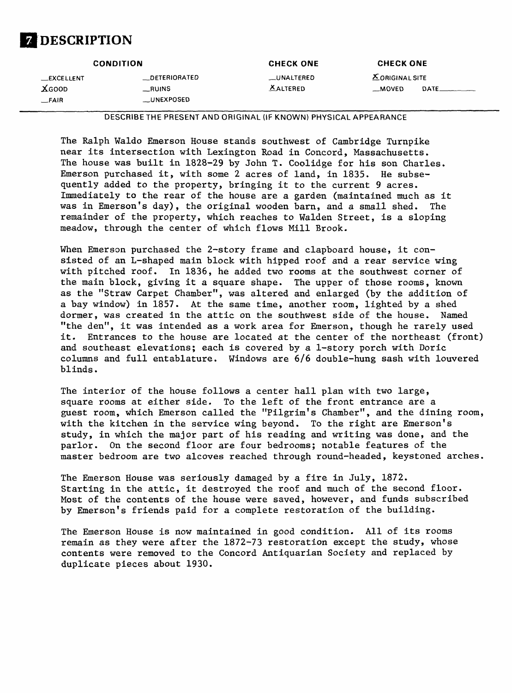

| <b>CONDITION</b>                          |                                              | <b>CHECK ONE</b>               | <b>CHECK ONE</b>                   |      |
|-------------------------------------------|----------------------------------------------|--------------------------------|------------------------------------|------|
| <b>LEXCELLENT</b><br>$X$ GOOD<br>$-$ FAIR | <b>DETERIORATED</b><br>_RUINS<br>__UNEXPOSED | __UNALTERED<br><b>XALTERED</b> | <b>X</b> ORIGINAL SITE<br>$-MOVED$ | DATE |

**DESCRIBE THE PRESENT AND ORIGINAL (IF KNOWN) PHYSICAL APPEARANCE**

The Ralph Waldo Emerson House stands southwest of Cambridge Turnpike near its intersection with Lexington Road in Concord, Massachusetts. The house was built in 1828-29 by John T. Coolidge for his son Charles. Emerson purchased it, with some 2 acres of land, in 1835. He subsequently added to the property, bringing it to the current 9 acres. Immediately to the rear of the house are a garden (maintained much as it was in Emerson's day), the original wooden barn, and a small shed. The remainder of the property, which reaches to Walden Street, is a sloping meadow, through the center of which flows Mill Brook.

When Emerson purchased the 2-story frame and clapboard house, it consisted of an L-shaped main block with hipped roof and a rear service wing with pitched roof. In 1836, he added two rooms at the southwest corner of the main block, giving it a square shape. The upper of those rooms, known as the "Straw Carpet Chamber", was altered and enlarged (by the addition of a bay window) in 1857. At the same time, another room, lighted by a shed dormer, was created in the attic on the southwest side of the house. Named "the den", it was intended as a work area for Emerson, though he rarely used it. Entrances to the house are located at the center of the northeast (front) and southeast elevations; each is covered by a 1-story porch with Doric columns and full entablature. Windows are 6/6 double-hung sash with louvered blinds.

The interior of the house follows a center hall plan with two large, square rooms at either side. To the left of the front entrance are a guest room, which Emerson called the "Pilgrim's Chamber", and the dining room, with the kitchen in the service wing beyond. To the right are Emerson's study, in which the major part of his reading and writing was done, and the parlor. On the second floor are four bedrooms; notable features of the master bedroom are two alcoves reached through round-headed, keystoned arches.

The Emerson House was seriously damaged by a fire in July, 1872. Starting in the attic, it destroyed the roof and much of the second floor. Most of the contents of the house were saved, however, and funds subscribed by Emerson's friends paid for a complete restoration of the building.

The Emerson House is now maintained in good condition. All of its rooms remain as they were after the 1872-73 restoration except the study, whose contents were removed to the Concord Antiquarian Society and replaced by duplicate pieces about 1930.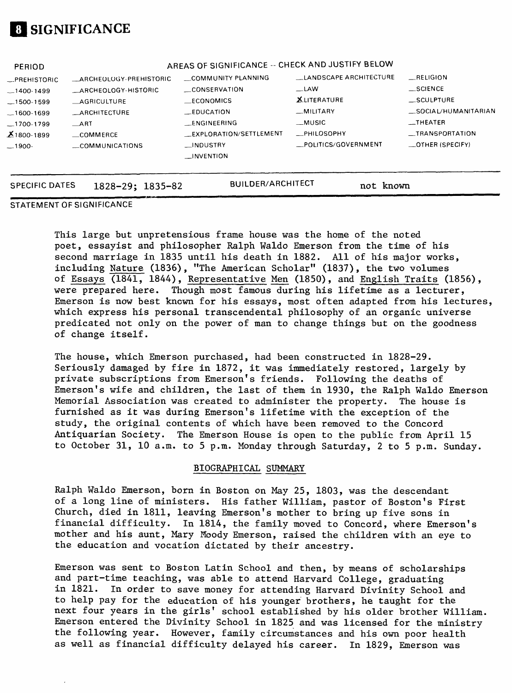# **SIGNIFICANCE**

| <b>SPECIFIC DATES</b> | $1828 - 29$ ; $1835 - 82$ | <b>BUILDER/ARCHITECT</b>                         | not known              |                          |
|-----------------------|---------------------------|--------------------------------------------------|------------------------|--------------------------|
|                       |                           | $\Box$ INVENTION                                 |                        |                          |
| $-1900-$              | COMMUNICATIONS            | <b>INDUSTRY</b>                                  | POLITICS/GOVERNMENT    | $\equiv$ OTHER (SPECIFY) |
| $X_{1800-1899}$       | $\equiv$ COMMERCE         | _EXPLORATION/SETTLEMENT                          | <b>_PHILOSOPHY</b>     | _TRANSPORTATION          |
| $-1700-1799$          | $\_$ ART                  | <b>ENGINEERING</b>                               | __MUSIC                | $-$ THEATER              |
| $-1600 - 1699$        | <b>_ARCHITECTURE</b>      | <b>EDUCATION</b>                                 | MILITARY               | _SOCIAL/HUMANITARIAN     |
| $-1500 - 1599$        | <b>AGRICULTURE</b>        | <b>ECONOMICS</b>                                 | <b>XLITERATURE</b>     | <b>SCULPTURE</b>         |
| $-1400-1499$          | ARCHEOLOGY-HISTORIC       | CONSERVATION                                     | $-LAW$                 | $\equiv$ SCIENCE         |
| <b>__PREHISTORIC</b>  | ARCHEOLOGY-PREHISTORIC    | COMMUNITY PLANNING                               | LANDSCAPE ARCHITECTURE | RELIGION                 |
| PERIOD                |                           | AREAS OF SIGNIFICANCE -- CHECK AND JUSTIFY BELOW |                        |                          |
|                       |                           |                                                  |                        |                          |

#### STATEMENT OF SIGNIFICANCE

This large but unpretensious frame house was the home of the noted poet, essayist and philosopher Ralph Waldo Emerson from the time of his second marriage in 1835 until his death in 1882. All of his major works, including Nature (1836), "The American Scholar" (1837), the two volumes of Essays (1841, 1844), Representative Men (1850), and English Traits (1856), were prepared here. Though most famous during his lifetime as a lecturer, Emerson is now best known for his essays, most often adapted from his lectures, which express his personal transcendental philosophy of an organic universe predicated not only on the power of man to change things but on the goodness of change itself.

The house, which Emerson purchased, had been constructed in 1828-29. Seriously damaged by fire in 1872, it was immediately restored, largely by private subscriptions from Emerson's friends. Following the deaths of Emerson's wife and children, the last of them in 1930, the Ralph Waldo Emerson Memorial Association was created to administer the property. The house is furnished as it was during Emerson's lifetime with the exception of the study, the original contents of which have been removed to the Concord Antiquarian Society. The Emerson House is open to the public from April 15 to October 31, 10 a.m. to 5 p.m. Monday through Saturday, 2 to 5 p.m. Sunday.

#### BIOGRAPHICAL SUMMARY

Ralph Waldo Emerson, born in Boston on May 25, 1803, was the descendant of a long line of ministers. His father William, pastor of Boston's First Church, died in 1811, leaving Emerson's mother to bring up five sons in financial difficulty. In 1814, the family moved to Concord, where Emerson's mother and his aunt, Mary Moody Emerson, raised the children with an eye to the education and vocation dictated by their ancestry.

Emerson was sent to Boston Latin School and then, by means of scholarships and part-time teaching, was able to attend Harvard College, graduating in 1821. In order to save money for attending Harvard Divinity School and to help pay for the education of his younger brothers, he taught for the next four years in the girls' school established by his older brother William. Emerson entered the Divinity School in 1825 and was licensed for the ministry the following year. However, family circumstances and his own poor health as well as financial difficulty delayed his career. In 1829, Emerson was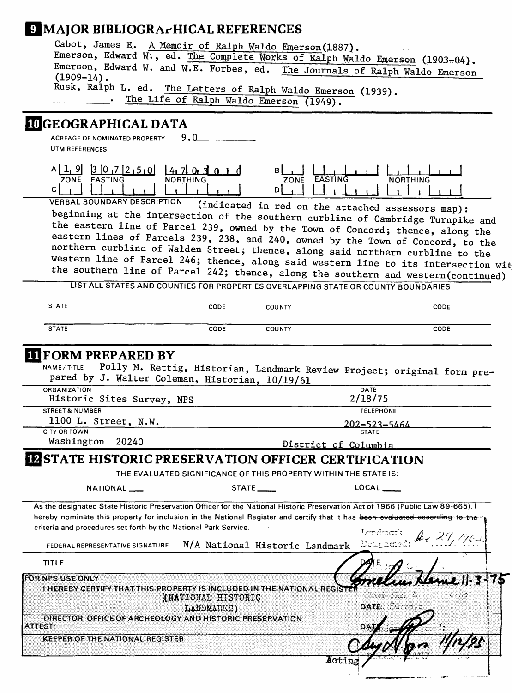## **9 MAJOR BIBLIOGRA-HICAL REFERENCES**

| Cabot, James E. A Memoir of Ralph Waldo Emerson(1887).                                       |  |  |  |  |
|----------------------------------------------------------------------------------------------|--|--|--|--|
| Emerson, Edward W., ed. The Complete Works of Ralph Waldo Emerson (1903-04).                 |  |  |  |  |
| Emerson, Edward W. and W.E. Forbes, ed. The Journals of Ralph Waldo Emerson<br>$(1909-14)$ . |  |  |  |  |
| Rusk, Ralph L. ed. The Letters of Ralph Waldo Emerson (1939).                                |  |  |  |  |
| . The Life of Ralph Waldo Emerson (1949).                                                    |  |  |  |  |
|                                                                                              |  |  |  |  |

#### **LOGEOGRAPHICAL DATA**

ACREAGE OF NOMINATED PROPERTY  $9.0$ UTM REFERENCES

|                        | 71 A<br>، ۵۰  |                        |     |
|------------------------|---------------|------------------------|-----|
| ZONE<br><b>EASTING</b> | NOR.<br>THING | <b>FASTING</b><br>ZONE | N f |
|                        | ----------    |                        |     |

VERBAL BOUNDARY DESCRIPTION (indicated in red on the attached assessors map): beginning at the intersection of the southern curbline of Cambridge Turnpike and the eastern line of Parcel 239, owned by the Town of Concord; thence, along the eastern lines of Parcels 239, 238, and 240, owned by the Town of Concord, to the northern curbline of Walden Street; thence, along said northern curbline to the western line of Parcel 246; thence, along said western line to its intersection witthe southern line of Parcel 242; thence, along the southern and western(continued)

LIST ALL STATES AND COUNTIES FOR PROPERTIES OVERLAPPING STATE OR COUNTY BOUNDARIES

| <b>STATE</b> | CODE | <b>COUNTY</b> | CODE |
|--------------|------|---------------|------|
| <b>STATE</b> | CODE | COUNTY        | CODE |

#### **III** FORM PREPARED BY

| NAME / TITLE<br>pared by J. Walter Coleman, Historian, 10/19/61                                                                                                                                                                                                                                                                                                        |                                        | POIIy M. Rettig, Historian, Landmark Review Project; original form pre- |            |
|------------------------------------------------------------------------------------------------------------------------------------------------------------------------------------------------------------------------------------------------------------------------------------------------------------------------------------------------------------------------|----------------------------------------|-------------------------------------------------------------------------|------------|
| <b>ORGANIZATION</b>                                                                                                                                                                                                                                                                                                                                                    |                                        | DATE                                                                    |            |
| Historic Sites Survey, NPS                                                                                                                                                                                                                                                                                                                                             |                                        | 2/18/75                                                                 |            |
| <b>STREET &amp; NUMBER</b>                                                                                                                                                                                                                                                                                                                                             |                                        | <b>TELEPHONE</b>                                                        |            |
| 1100 L. Street, N.W.                                                                                                                                                                                                                                                                                                                                                   |                                        | 202-523-5464                                                            |            |
| <b>CITY OR TOWN</b>                                                                                                                                                                                                                                                                                                                                                    |                                        | <b>STATE</b>                                                            |            |
| Washington 20240                                                                                                                                                                                                                                                                                                                                                       |                                        | District of Columbia                                                    |            |
| <b>IZSTATE HISTORIC PRESERVATION OFFICER CERTIFICATION</b>                                                                                                                                                                                                                                                                                                             |                                        |                                                                         |            |
|                                                                                                                                                                                                                                                                                                                                                                        |                                        | THE EVALUATED SIGNIFICANCE OF THIS PROPERTY WITHIN THE STATE IS:        |            |
| NATIONAL <sub>_</sub>                                                                                                                                                                                                                                                                                                                                                  | $STATE$ <sub>_____</sub>               | LOCAL                                                                   |            |
| As the designated State Historic Preservation Officer for the National Historic Preservation Act of 1966 (Public Law 89-665). I<br>hereby nominate this property for inclusion in the National Register and certify that it has been-evaluated according to the<br>criteria and procedures set forth by the National Park Service.<br>FEDERAL REPRESENTATIVE SIGNATURE | N/A National Historic Landmark         | Deciments $\cancel{\mu_1}$ 29, 1962                                     |            |
| <b>TITLE</b>                                                                                                                                                                                                                                                                                                                                                           |                                        |                                                                         |            |
| <b>FOR NPS USE ONLY</b><br><b>I HEREBY CERTIFY THAT THIS PROPERTY IS INCLUDED IN THE NATIONAL REGISTER</b>                                                                                                                                                                                                                                                             | <b>HATIONAL HISTORIC</b><br>LANDMARKS) | Choi Kici (l<br>DATE CONVOID                                            | $\sqrt{2}$ |
| DIRECTOR, OFFICE OF ARCHEOLOGY AND HISTORIC PRESERVATION<br><b>ATTEST:</b>                                                                                                                                                                                                                                                                                             |                                        | DAI                                                                     |            |
| <b>KEEPER OF THE NATIONAL REGISTER</b>                                                                                                                                                                                                                                                                                                                                 |                                        |                                                                         |            |
|                                                                                                                                                                                                                                                                                                                                                                        |                                        | Acting                                                                  |            |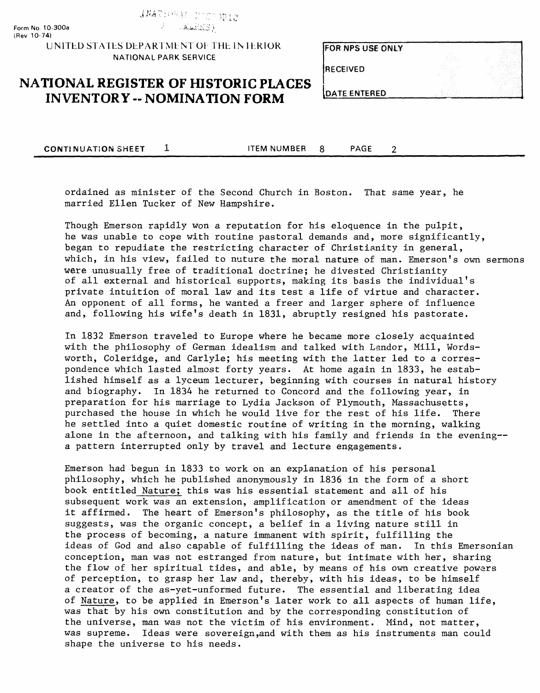ANATIONAL INSTORIC

**UNITED STATES DEPARTMENT OF THE IN IERIOR NATIONAL PARK SERVICE**

FOR NPS USE ONLY

**RECEIVED** 

## **NATIONAL REGISTER OF HISTORIC PLACES INVENTORY -- NOMINATION FORM**

**DATE ENTERED** 

**CONTINUATION SHEET 1** ITEM NUMBER 8 PAGE

 $\overline{2}$ 

ordained as minister of the Second Church in Boston. That same year, he married Ellen Tucker of New Hampshire.

Though Emerson rapidly won a reputation for his eloquence in the pulpit, he was unable to cope with routine pastoral demands and, more significantly, began to repudiate the restricting character of Christianity in general, which, in his view, failed to nuture the moral nature of man. Emerson's own sermons were unusually free of traditional doctrine; he divested Christianity of all external and historical supports, making its basis the individual's private intuition of moral law and its test a life of virtue and character. An opponent of all forms, he wanted a freer and larger sphere of influence and, following his wife's death in 1831, abruptly resigned his pastorate.

In 1832 Emerson traveled to Europe where he became more closely acquainted with the philosophy of German idealism and talked with Landor, Mill, Wordsworth, Coleridge, and Carlyle; his meeting with the latter led to a correspondence which lasted almost forty years. At home again in 1833, he established himself as a lyceum lecturer, beginning with courses in natural history and biography. In 1834 he returned to Concord and the following year, in preparation for his marriage to Lydia Jackson of Plymouth, Massachusetts, purchased the house in which he would live for the rest of his life. There he settled into a quiet domestic routine of writing in the morning, walking alone in the afternoon, and talking with his family and friends in the evening-a pattern interrupted only by travel and lecture engagements.

Emerson had begun in 1833 to work on an explanation of his personal philosophy, which he published anonymously in 1836 in the form of a short book entitled Nature; this was his essential statement and all of his subsequent work was an extension, amplification or amendment of the ideas it affirmed. The heart of Emerson's philosophy, as the title of his book suggests, was the organic concept, a belief in a living nature still in the process of becoming, a nature immanent with spirit, fulfilling the ideas of God and also capable of fulfilling the ideas of man. In this Emersonian conception, man was not estranged from nature, but intimate with her, sharing the flow of her spiritual tides, and able, by means of his own creative powers of perception, to grasp her law and, thereby, with his ideas, to be himself a creator of the as-yet-unformed future. The essential and liberating idea °f Nature, to be applied in Emerson's later work to all aspects of human life, was that by his own constitution and by the corresponding constitution of the universe, man was not the victim of his environment. Mind, not matter, was supreme. Ideas were sovereign,and with them as his instruments man could shape the universe to his needs.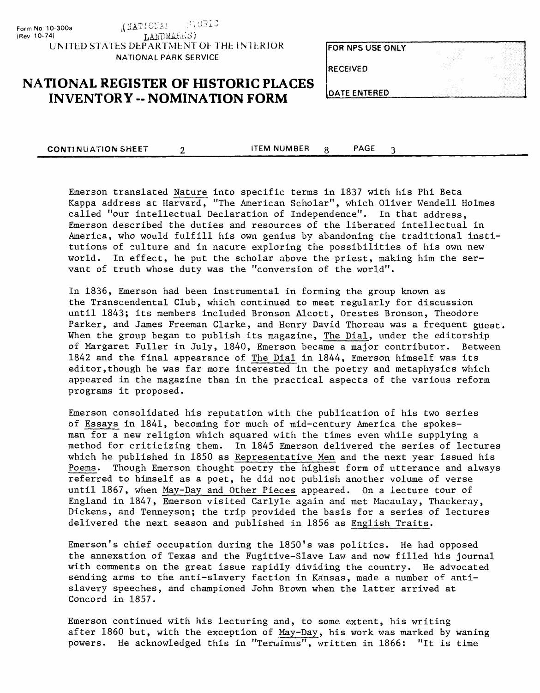STORIC LANCITAM). **Form No 1 0-300a (Rev 10-74)** LANDMARKS) UNITED STATES DEPARTMENT OF THE INTERIOR **NATIONAL PARK SERVICE**

| FOR NPS USE ONLY |  |
|------------------|--|
| <b>RECEIVED</b>  |  |
|                  |  |
| DATE ENTERED     |  |

# **NATIONAL REGISTER OF HISTORIC PLACES**<br>INVENTORY -- NOMINATION FORM

**CONTINUATION SHEET 2 ITEM NUMBER 3 PAGE** 3

Emerson translated Nature into specific terms in 1837 with his Phi Beta Kappa address at Harvard, "The American Scholar", which Oliver Wendell Holmes called "our intellectual Declaration of Independence". In that address, Emerson described the duties and resources of the liberated intellectual in America, who would fulfill his own genius by abandoning the traditional institutions of culture and in nature exploring the possibilities of his own new world. In effect, he put the scholar above the priest, making him the servant of truth whose duty was the "conversion of the world".

In 1836, Emerson had been instrumental in forming the group known as the Transcendental Club, which continued to meet regularly for discussion until 1843; its members included Bronson Alcott, Orestes Bronson, Theodore Parker, and James Freeman Clarke, and Henry David Thoreau was a frequent guest. When the group began to publish its magazine, The Dial, under the editorship of Margaret Fuller in July, 1840, Emerson became a major contributor. Between 1842 and the final appearance of The Dial in 1844, Emerson himself was its editor,though he was far more interested in the poetry and metaphysics which appeared in the magazine than in the practical aspects of the various reform programs it proposed.

Emerson consolidated his reputation with the publication of his two series of Essays in 1841, becoming for much of mid-century America the spokesman for a new religion which squared with the times even while supplying a method for criticizing them. In 1845 Emerson delivered the series of lectures which he published in 1850 as Representative Men and the next year issued his Poems. Though Emerson thought poetry the highest form of utterance and always referred to himself as a poet, he did not publish another volume of verse until 1867, when May-Day and Other Pieces appeared. On a lecture tour of England in 1847, Emerson visited Carlyle again and met Macaulay, Thackeray, Dickens, and Tenneyson; the trip provided the basis for a series of lectures delivered the next season and published in 1856 as English Traits.

Emerson's chief occupation during the 1850's was politics. He had opposed the annexation of Texas and the Fugitive-Slave Law and now filled his journal with comments on the great issue rapidly dividing the country. He advocated sending arms to the anti-slavery faction in Kansas, made a number of antislavery speeches, and championed John Brown when the latter arrived at Concord in 1857.

Emerson continued with his lecturing and, to some extent, his writing after 1860 but, with the exception of May-Day, his work was marked by waning powers. He acknowledged this in "Terminus", written in 1866: "It is time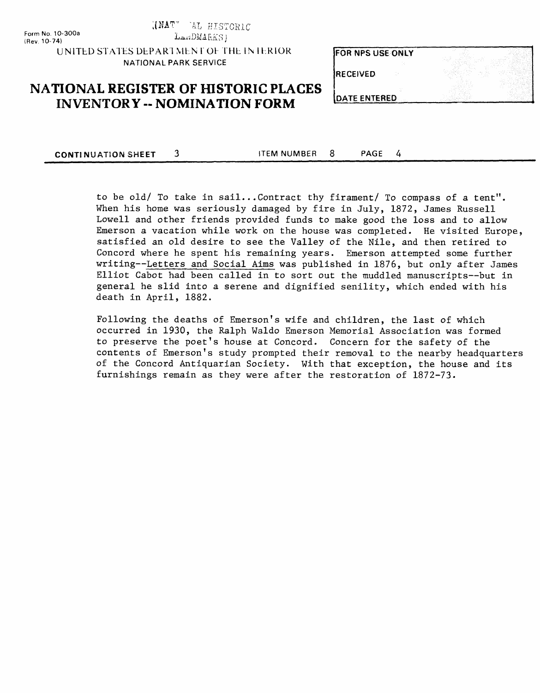Form No. 10-300a (Rev. 10-74)

HISTORIC

 $L = m \text{DM4K}$ K $S$ 

UNITED STATES DEPARI MEN I Ol THE IN IERIOR NATIONAL PARK SERVICE

**FOR NPS USE ONLY** 

### **NATIONAL REGISTER OF HISTORIC PLACES INVENTORY - NOMINATION FORM**

| <b>RECEIVED</b>      |  |
|----------------------|--|
|                      |  |
| <b>JDATE ENTERED</b> |  |

**CONTINUATION SHEET 3** ITEM NUMBER 8 PAGE 4

> to be old/ To take in sail...Contract thy firament/ To compass of a tent". When his home was seriously damaged by fire in July, 1872, James Russell Lowell and other friends provided funds to make good the loss and to allow Emerson a vacation while work on the house was completed. He visited Europe, satisfied an old desire to see the Valley of the Nile, and then retired to Concord where he spent his remaining years. Emerson attempted some further writing—Letters and Social Aims was published in 1876, but only after James Elliot Cabot had been called in to sort out the muddled manuscripts—but in general he slid into a serene and dignified senility, which ended with his death in April, 1882.

> Following the deaths of Emerson's wife and children, the last of which occurred in 1930, the Ralph Waldo Emerson Memorial Association was formed to preserve the poet's house at Concord. Concern for the safety of the contents of Emerson's study prompted their removal to the nearby headquarters of the Concord Antiquarian Society. With that exception, the house and its furnishings remain as they were after the restoration of 1872-73.